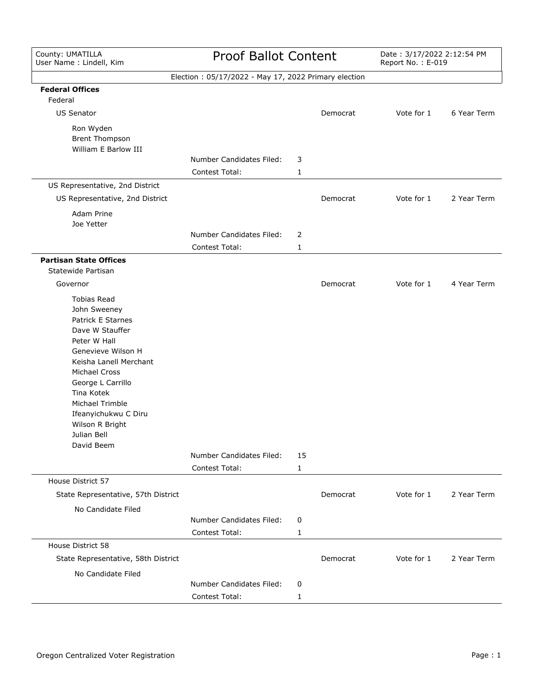| County: UMATILLA<br>User Name: Lindell, Kim                                                                                                                                                                                                                                                      | <b>Proof Ballot Content</b>                          |         | Date: 3/17/2022 2:12:54 PM<br>Report No.: E-019 |            |             |
|--------------------------------------------------------------------------------------------------------------------------------------------------------------------------------------------------------------------------------------------------------------------------------------------------|------------------------------------------------------|---------|-------------------------------------------------|------------|-------------|
|                                                                                                                                                                                                                                                                                                  | Election: 05/17/2022 - May 17, 2022 Primary election |         |                                                 |            |             |
| <b>Federal Offices</b><br>Federal                                                                                                                                                                                                                                                                |                                                      |         |                                                 |            |             |
| <b>US Senator</b>                                                                                                                                                                                                                                                                                |                                                      |         | Democrat                                        | Vote for 1 | 6 Year Term |
| Ron Wyden<br>Brent Thompson<br>William E Barlow III                                                                                                                                                                                                                                              |                                                      |         |                                                 |            |             |
|                                                                                                                                                                                                                                                                                                  | Number Candidates Filed:                             | 3       |                                                 |            |             |
|                                                                                                                                                                                                                                                                                                  | <b>Contest Total:</b>                                | 1       |                                                 |            |             |
| US Representative, 2nd District                                                                                                                                                                                                                                                                  |                                                      |         |                                                 |            |             |
| US Representative, 2nd District                                                                                                                                                                                                                                                                  |                                                      |         | Democrat                                        | Vote for 1 | 2 Year Term |
| Adam Prine<br>Joe Yetter                                                                                                                                                                                                                                                                         |                                                      |         |                                                 |            |             |
|                                                                                                                                                                                                                                                                                                  | Number Candidates Filed:                             | 2       |                                                 |            |             |
|                                                                                                                                                                                                                                                                                                  | <b>Contest Total:</b>                                | 1       |                                                 |            |             |
| <b>Partisan State Offices</b>                                                                                                                                                                                                                                                                    |                                                      |         |                                                 |            |             |
| Statewide Partisan                                                                                                                                                                                                                                                                               |                                                      |         |                                                 |            |             |
| Governor                                                                                                                                                                                                                                                                                         |                                                      |         | Democrat                                        | Vote for 1 | 4 Year Term |
| <b>Tobias Read</b><br>John Sweeney<br>Patrick E Starnes<br>Dave W Stauffer<br>Peter W Hall<br>Genevieve Wilson H<br>Keisha Lanell Merchant<br><b>Michael Cross</b><br>George L Carrillo<br>Tina Kotek<br>Michael Trimble<br>Ifeanyichukwu C Diru<br>Wilson R Bright<br>Julian Bell<br>David Beem | Number Candidates Filed:<br>Contest Total:           | 15<br>1 |                                                 |            |             |
| House District 57                                                                                                                                                                                                                                                                                |                                                      |         |                                                 |            |             |
| State Representative, 57th District                                                                                                                                                                                                                                                              |                                                      |         | Democrat                                        | Vote for 1 | 2 Year Term |
| No Candidate Filed                                                                                                                                                                                                                                                                               |                                                      |         |                                                 |            |             |
|                                                                                                                                                                                                                                                                                                  | Number Candidates Filed:<br>Contest Total:           | 0<br>1  |                                                 |            |             |
| House District 58                                                                                                                                                                                                                                                                                |                                                      |         |                                                 |            |             |
| State Representative, 58th District<br>No Candidate Filed                                                                                                                                                                                                                                        |                                                      |         | Democrat                                        | Vote for 1 | 2 Year Term |
|                                                                                                                                                                                                                                                                                                  | Number Candidates Filed:                             | 0       |                                                 |            |             |
|                                                                                                                                                                                                                                                                                                  | Contest Total:                                       | 1       |                                                 |            |             |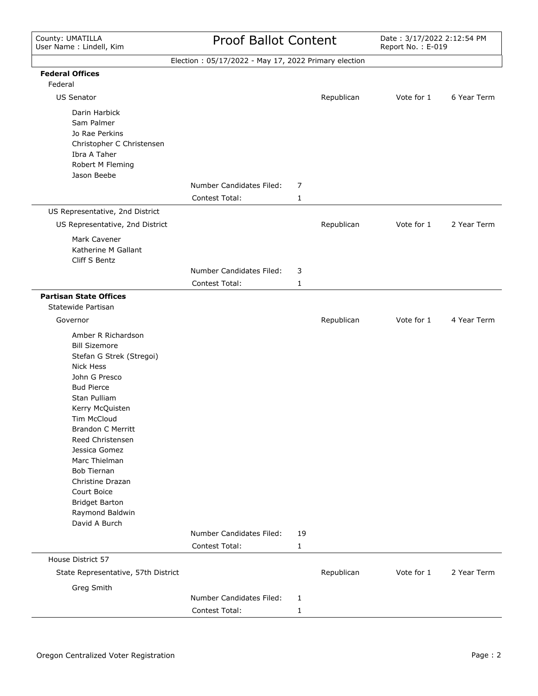## Proof Ballot Content

Date: 3/17/2022 2:12:54 PM<br>Report No.: E-019

|                                                                                                                                                                                                                                                                                                                                                                                            | Election: 05/17/2022 - May 17, 2022 Primary election |         |            |            |             |
|--------------------------------------------------------------------------------------------------------------------------------------------------------------------------------------------------------------------------------------------------------------------------------------------------------------------------------------------------------------------------------------------|------------------------------------------------------|---------|------------|------------|-------------|
| <b>Federal Offices</b>                                                                                                                                                                                                                                                                                                                                                                     |                                                      |         |            |            |             |
| Federal                                                                                                                                                                                                                                                                                                                                                                                    |                                                      |         |            |            |             |
| <b>US Senator</b>                                                                                                                                                                                                                                                                                                                                                                          |                                                      |         | Republican | Vote for 1 | 6 Year Term |
| Darin Harbick<br>Sam Palmer<br>Jo Rae Perkins<br>Christopher C Christensen<br>Ibra A Taher<br>Robert M Fleming<br>Jason Beebe                                                                                                                                                                                                                                                              |                                                      |         |            |            |             |
|                                                                                                                                                                                                                                                                                                                                                                                            | <b>Number Candidates Filed:</b>                      | 7       |            |            |             |
|                                                                                                                                                                                                                                                                                                                                                                                            | Contest Total:                                       | 1       |            |            |             |
| US Representative, 2nd District                                                                                                                                                                                                                                                                                                                                                            |                                                      |         |            |            |             |
| US Representative, 2nd District                                                                                                                                                                                                                                                                                                                                                            |                                                      |         | Republican | Vote for 1 | 2 Year Term |
| Mark Cavener<br>Katherine M Gallant<br>Cliff S Bentz                                                                                                                                                                                                                                                                                                                                       |                                                      |         |            |            |             |
|                                                                                                                                                                                                                                                                                                                                                                                            | Number Candidates Filed:                             | 3       |            |            |             |
|                                                                                                                                                                                                                                                                                                                                                                                            | Contest Total:                                       | 1       |            |            |             |
| <b>Partisan State Offices</b><br>Statewide Partisan                                                                                                                                                                                                                                                                                                                                        |                                                      |         |            |            |             |
| Governor                                                                                                                                                                                                                                                                                                                                                                                   |                                                      |         | Republican | Vote for 1 | 4 Year Term |
| Amber R Richardson<br><b>Bill Sizemore</b><br>Stefan G Strek (Stregoi)<br><b>Nick Hess</b><br>John G Presco<br><b>Bud Pierce</b><br>Stan Pulliam<br>Kerry McQuisten<br>Tim McCloud<br><b>Brandon C Merritt</b><br>Reed Christensen<br>Jessica Gomez<br>Marc Thielman<br><b>Bob Tiernan</b><br>Christine Drazan<br>Court Boice<br><b>Bridget Barton</b><br>Raymond Baldwin<br>David A Burch | Number Candidates Filed:<br>Contest Total:           | 19<br>1 |            |            |             |
| House District 57                                                                                                                                                                                                                                                                                                                                                                          |                                                      |         |            |            |             |
| State Representative, 57th District                                                                                                                                                                                                                                                                                                                                                        |                                                      |         | Republican | Vote for 1 | 2 Year Term |
| Greg Smith                                                                                                                                                                                                                                                                                                                                                                                 |                                                      |         |            |            |             |
|                                                                                                                                                                                                                                                                                                                                                                                            | Number Candidates Filed:<br>Contest Total:           | 1<br>1  |            |            |             |
|                                                                                                                                                                                                                                                                                                                                                                                            |                                                      |         |            |            |             |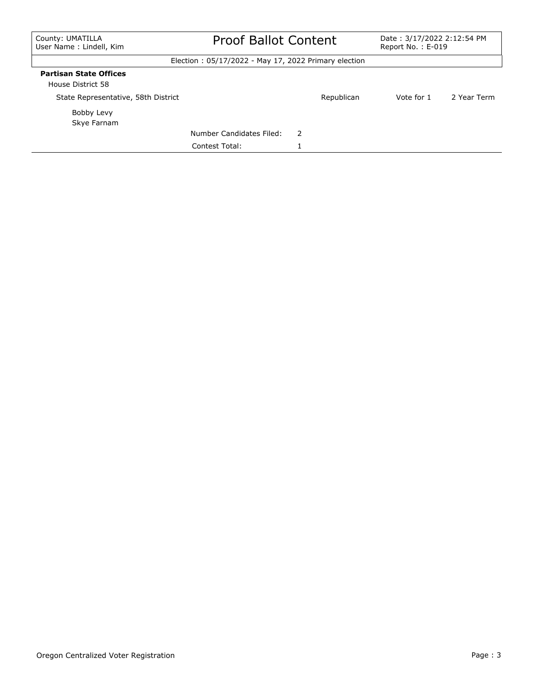## Proof Ballot Content Date : 3/17/2022 2:12:54 PM

Report No. : E-019

Election : 05/17/2022 - May 17, 2022 Primary election

#### **Partisan State Offices**

House District 58

| HOUSE DISTRICT 58                   |                          |   |            |            |             |
|-------------------------------------|--------------------------|---|------------|------------|-------------|
| State Representative, 58th District |                          |   | Republican | Vote for 1 | 2 Year Term |
| Bobby Levy<br>Skye Farnam           |                          |   |            |            |             |
|                                     | Number Candidates Filed: | 2 |            |            |             |
|                                     | Contest Total:           |   |            |            |             |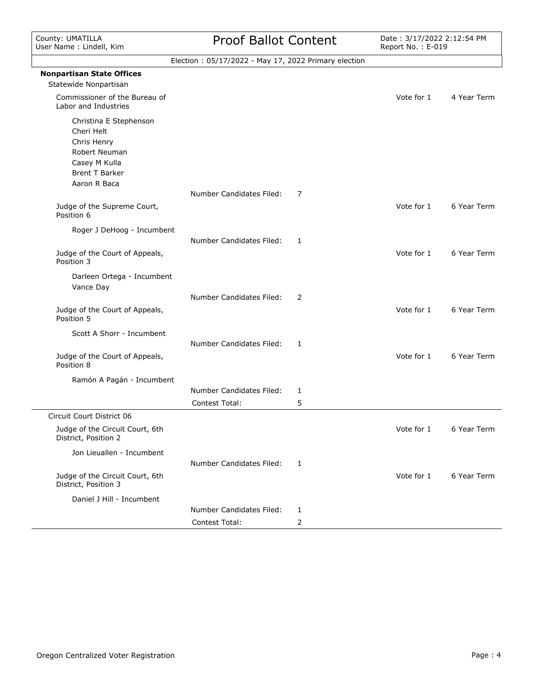| County: UMATILLA<br>Jser Name: Lindell, Kim                                                                                    | <b>Proof Ballot Content</b>                          |   | Date: 3/17/2022 2:12:54 PM<br>Report No.: E-019 |             |
|--------------------------------------------------------------------------------------------------------------------------------|------------------------------------------------------|---|-------------------------------------------------|-------------|
|                                                                                                                                | Election: 05/17/2022 - May 17, 2022 Primary election |   |                                                 |             |
| <b>Nonpartisan State Offices</b><br>Statewide Nonpartisan                                                                      |                                                      |   |                                                 |             |
| Commissioner of the Bureau of<br>Labor and Industries                                                                          |                                                      |   | Vote for 1                                      | 4 Year Term |
| Christina E Stephenson<br>Cheri Helt<br>Chris Henry<br>Robert Neuman<br>Casey M Kulla<br><b>Brent T Barker</b><br>Aaron R Baca |                                                      |   |                                                 |             |
|                                                                                                                                | Number Candidates Filed:                             | 7 |                                                 |             |
| Judge of the Supreme Court,<br>Position 6                                                                                      |                                                      |   | Vote for 1                                      | 6 Year Term |
| Roger J DeHoog - Incumbent                                                                                                     | <b>Number Candidates Filed:</b>                      | 1 |                                                 |             |
| Judge of the Court of Appeals,<br>Position 3                                                                                   |                                                      |   | Vote for 1                                      | 6 Year Term |
| Darleen Ortega - Incumbent<br>Vance Day                                                                                        |                                                      |   |                                                 |             |
|                                                                                                                                | <b>Number Candidates Filed:</b>                      | 2 |                                                 |             |
| Judge of the Court of Appeals,<br>Position 5                                                                                   |                                                      |   | Vote for 1                                      | 6 Year Term |
| Scott A Shorr - Incumbent                                                                                                      |                                                      |   |                                                 |             |
|                                                                                                                                | Number Candidates Filed:                             | 1 |                                                 |             |
| Judge of the Court of Appeals,<br>Position 8                                                                                   |                                                      |   | Vote for 1                                      | 6 Year Term |
| Ramón A Pagán - Incumbent                                                                                                      |                                                      |   |                                                 |             |
|                                                                                                                                | Number Candidates Filed:                             | 1 |                                                 |             |
|                                                                                                                                | Contest Total:                                       | 5 |                                                 |             |

|                                                         | Contest Total:           | ⊃ |            |             |
|---------------------------------------------------------|--------------------------|---|------------|-------------|
| Circuit Court District 06                               |                          |   |            |             |
| Judge of the Circuit Court, 6th<br>District, Position 2 |                          |   | Vote for 1 | 6 Year Term |
| Jon Lieuallen - Incumbent                               |                          |   |            |             |
|                                                         | Number Candidates Filed: |   |            |             |
| Judge of the Circuit Court, 6th<br>District, Position 3 |                          |   | Vote for 1 | 6 Year Term |
| Daniel J Hill - Incumbent                               |                          |   |            |             |
|                                                         | Number Candidates Filed: |   |            |             |
|                                                         | Contest Total:           |   |            |             |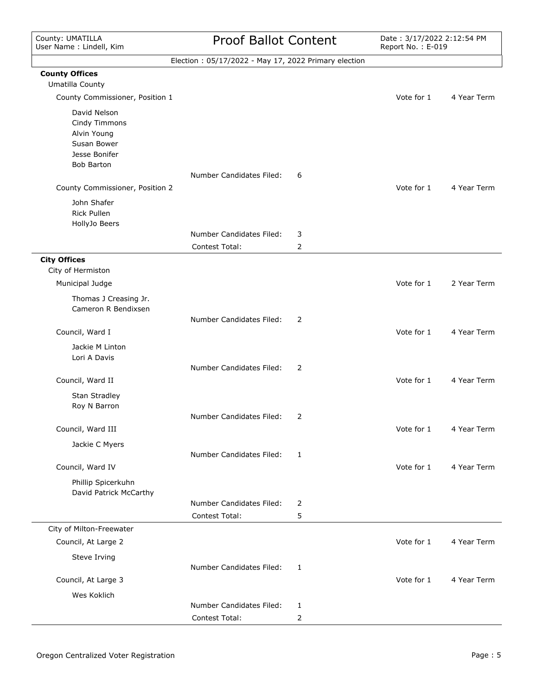**County Offices** Umatilla County

 $\frac{1}{2}$ 

## Proof Ballot Content

Date: 3/17/2022 2:12:54 PM<br>Report No.: E-019

| Election: 05/17/2022 - May 17, 2022 Primary election |  |
|------------------------------------------------------|--|
|                                                      |  |
|                                                      |  |

| County Commissioner, Position 1                                                                   |                                            |        | Vote for 1 | 4 Year Term |
|---------------------------------------------------------------------------------------------------|--------------------------------------------|--------|------------|-------------|
| David Nelson<br>Cindy Timmons<br>Alvin Young<br>Susan Bower<br>Jesse Bonifer<br><b>Bob Barton</b> |                                            |        |            |             |
| County Commissioner, Position 2                                                                   | Number Candidates Filed:                   | 6      | Vote for 1 | 4 Year Term |
| John Shafer<br>Rick Pullen<br>HollyJo Beers                                                       |                                            |        |            |             |
|                                                                                                   | Number Candidates Filed:                   | 3      |            |             |
|                                                                                                   | Contest Total:                             | 2      |            |             |
| <b>City Offices</b>                                                                               |                                            |        |            |             |
| City of Hermiston                                                                                 |                                            |        |            |             |
| Municipal Judge                                                                                   |                                            |        | Vote for 1 | 2 Year Term |
| Thomas J Creasing Jr.<br>Cameron R Bendixsen                                                      |                                            |        |            |             |
|                                                                                                   | Number Candidates Filed:                   | 2      |            |             |
| Council, Ward I                                                                                   |                                            |        | Vote for 1 | 4 Year Term |
| Jackie M Linton<br>Lori A Davis                                                                   |                                            |        |            |             |
|                                                                                                   | Number Candidates Filed:                   | 2      |            |             |
| Council, Ward II                                                                                  |                                            |        | Vote for 1 | 4 Year Term |
| Stan Stradley<br>Roy N Barron                                                                     |                                            |        |            |             |
|                                                                                                   | Number Candidates Filed:                   | 2      |            |             |
| Council, Ward III                                                                                 |                                            |        | Vote for 1 | 4 Year Term |
| Jackie C Myers                                                                                    |                                            |        |            |             |
| Council, Ward IV                                                                                  | Number Candidates Filed:                   | 1      | Vote for 1 | 4 Year Term |
|                                                                                                   |                                            |        |            |             |
| Phillip Spicerkuhn<br>David Patrick McCarthy                                                      |                                            |        |            |             |
|                                                                                                   | Number Candidates Filed:<br>Contest Total: | 2<br>5 |            |             |
| City of Milton-Freewater                                                                          |                                            |        |            |             |
| Council, At Large 2                                                                               |                                            |        | Vote for 1 | 4 Year Term |
|                                                                                                   |                                            |        |            |             |
| Steve Irving                                                                                      | Number Candidates Filed:                   | 1      |            |             |
| Council, At Large 3                                                                               |                                            |        | Vote for 1 | 4 Year Term |
| Wes Koklich                                                                                       |                                            |        |            |             |
|                                                                                                   | Number Candidates Filed:                   | 1      |            |             |
|                                                                                                   | Contest Total:                             | 2      |            |             |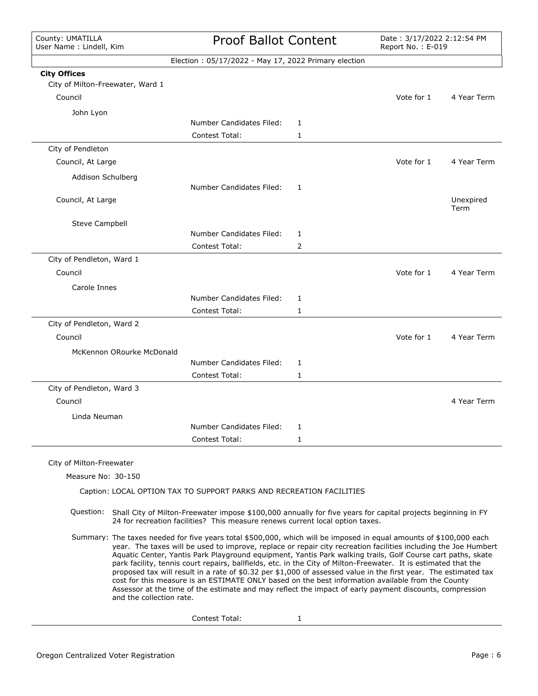County: UMATILLA User Name : Lindell, Kim

# Proof Ballot Content

Date: 3/17/2022 2:12:54 PM<br>Report No.: E-019

|                                                         | Election: 05/17/2022 - May 17, 2022 Primary election                                                                                                                                                                                                                                                                                                                                                                                                                                                                                                                                                                                                                                                                                                                                                       |   |            |                   |
|---------------------------------------------------------|------------------------------------------------------------------------------------------------------------------------------------------------------------------------------------------------------------------------------------------------------------------------------------------------------------------------------------------------------------------------------------------------------------------------------------------------------------------------------------------------------------------------------------------------------------------------------------------------------------------------------------------------------------------------------------------------------------------------------------------------------------------------------------------------------------|---|------------|-------------------|
| <b>City Offices</b><br>City of Milton-Freewater, Ward 1 |                                                                                                                                                                                                                                                                                                                                                                                                                                                                                                                                                                                                                                                                                                                                                                                                            |   |            |                   |
| Council                                                 |                                                                                                                                                                                                                                                                                                                                                                                                                                                                                                                                                                                                                                                                                                                                                                                                            |   | Vote for 1 | 4 Year Term       |
| John Lyon                                               |                                                                                                                                                                                                                                                                                                                                                                                                                                                                                                                                                                                                                                                                                                                                                                                                            |   |            |                   |
|                                                         | Number Candidates Filed:                                                                                                                                                                                                                                                                                                                                                                                                                                                                                                                                                                                                                                                                                                                                                                                   | 1 |            |                   |
|                                                         | Contest Total:                                                                                                                                                                                                                                                                                                                                                                                                                                                                                                                                                                                                                                                                                                                                                                                             | 1 |            |                   |
| City of Pendleton                                       |                                                                                                                                                                                                                                                                                                                                                                                                                                                                                                                                                                                                                                                                                                                                                                                                            |   |            |                   |
| Council, At Large                                       |                                                                                                                                                                                                                                                                                                                                                                                                                                                                                                                                                                                                                                                                                                                                                                                                            |   | Vote for 1 | 4 Year Term       |
| Addison Schulberg                                       |                                                                                                                                                                                                                                                                                                                                                                                                                                                                                                                                                                                                                                                                                                                                                                                                            |   |            |                   |
|                                                         | Number Candidates Filed:                                                                                                                                                                                                                                                                                                                                                                                                                                                                                                                                                                                                                                                                                                                                                                                   | 1 |            |                   |
| Council, At Large                                       |                                                                                                                                                                                                                                                                                                                                                                                                                                                                                                                                                                                                                                                                                                                                                                                                            |   |            | Unexpired<br>Term |
| Steve Campbell                                          |                                                                                                                                                                                                                                                                                                                                                                                                                                                                                                                                                                                                                                                                                                                                                                                                            |   |            |                   |
|                                                         | Number Candidates Filed:                                                                                                                                                                                                                                                                                                                                                                                                                                                                                                                                                                                                                                                                                                                                                                                   | 1 |            |                   |
|                                                         | Contest Total:                                                                                                                                                                                                                                                                                                                                                                                                                                                                                                                                                                                                                                                                                                                                                                                             | 2 |            |                   |
| City of Pendleton, Ward 1                               |                                                                                                                                                                                                                                                                                                                                                                                                                                                                                                                                                                                                                                                                                                                                                                                                            |   |            |                   |
| Council                                                 |                                                                                                                                                                                                                                                                                                                                                                                                                                                                                                                                                                                                                                                                                                                                                                                                            |   | Vote for 1 | 4 Year Term       |
| Carole Innes                                            |                                                                                                                                                                                                                                                                                                                                                                                                                                                                                                                                                                                                                                                                                                                                                                                                            |   |            |                   |
|                                                         | Number Candidates Filed:                                                                                                                                                                                                                                                                                                                                                                                                                                                                                                                                                                                                                                                                                                                                                                                   | 1 |            |                   |
|                                                         | Contest Total:                                                                                                                                                                                                                                                                                                                                                                                                                                                                                                                                                                                                                                                                                                                                                                                             | 1 |            |                   |
| City of Pendleton, Ward 2                               |                                                                                                                                                                                                                                                                                                                                                                                                                                                                                                                                                                                                                                                                                                                                                                                                            |   |            |                   |
| Council                                                 |                                                                                                                                                                                                                                                                                                                                                                                                                                                                                                                                                                                                                                                                                                                                                                                                            |   | Vote for 1 | 4 Year Term       |
| McKennon ORourke McDonald                               |                                                                                                                                                                                                                                                                                                                                                                                                                                                                                                                                                                                                                                                                                                                                                                                                            |   |            |                   |
|                                                         | Number Candidates Filed:<br>Contest Total:                                                                                                                                                                                                                                                                                                                                                                                                                                                                                                                                                                                                                                                                                                                                                                 | 1 |            |                   |
| City of Pendleton, Ward 3                               |                                                                                                                                                                                                                                                                                                                                                                                                                                                                                                                                                                                                                                                                                                                                                                                                            | 1 |            |                   |
| Council                                                 |                                                                                                                                                                                                                                                                                                                                                                                                                                                                                                                                                                                                                                                                                                                                                                                                            |   |            | 4 Year Term       |
|                                                         |                                                                                                                                                                                                                                                                                                                                                                                                                                                                                                                                                                                                                                                                                                                                                                                                            |   |            |                   |
| Linda Neuman                                            | Number Candidates Filed:                                                                                                                                                                                                                                                                                                                                                                                                                                                                                                                                                                                                                                                                                                                                                                                   | 1 |            |                   |
|                                                         | Contest Total:                                                                                                                                                                                                                                                                                                                                                                                                                                                                                                                                                                                                                                                                                                                                                                                             | 1 |            |                   |
|                                                         |                                                                                                                                                                                                                                                                                                                                                                                                                                                                                                                                                                                                                                                                                                                                                                                                            |   |            |                   |
| City of Milton-Freewater                                |                                                                                                                                                                                                                                                                                                                                                                                                                                                                                                                                                                                                                                                                                                                                                                                                            |   |            |                   |
| Measure No: 30-150                                      |                                                                                                                                                                                                                                                                                                                                                                                                                                                                                                                                                                                                                                                                                                                                                                                                            |   |            |                   |
|                                                         | Caption: LOCAL OPTION TAX TO SUPPORT PARKS AND RECREATION FACILITIES                                                                                                                                                                                                                                                                                                                                                                                                                                                                                                                                                                                                                                                                                                                                       |   |            |                   |
|                                                         | Question: Shall City of Milton-Freewater impose \$100,000 annually for five years for capital projects beginning in FY<br>24 for recreation facilities? This measure renews current local option taxes.                                                                                                                                                                                                                                                                                                                                                                                                                                                                                                                                                                                                    |   |            |                   |
| and the collection rate.                                | Summary: The taxes needed for five years total \$500,000, which will be imposed in equal amounts of \$100,000 each<br>year. The taxes will be used to improve, replace or repair city recreation facilities including the Joe Humbert<br>Aquatic Center, Yantis Park Playground equipment, Yantis Park walking trails, Golf Course cart paths, skate<br>park facility, tennis court repairs, ballfields, etc. in the City of Milton-Freewater. It is estimated that the<br>proposed tax will result in a rate of \$0.32 per \$1,000 of assessed value in the first year. The estimated tax<br>cost for this measure is an ESTIMATE ONLY based on the best information available from the County<br>Assessor at the time of the estimate and may reflect the impact of early payment discounts, compression |   |            |                   |

Contest Total: 1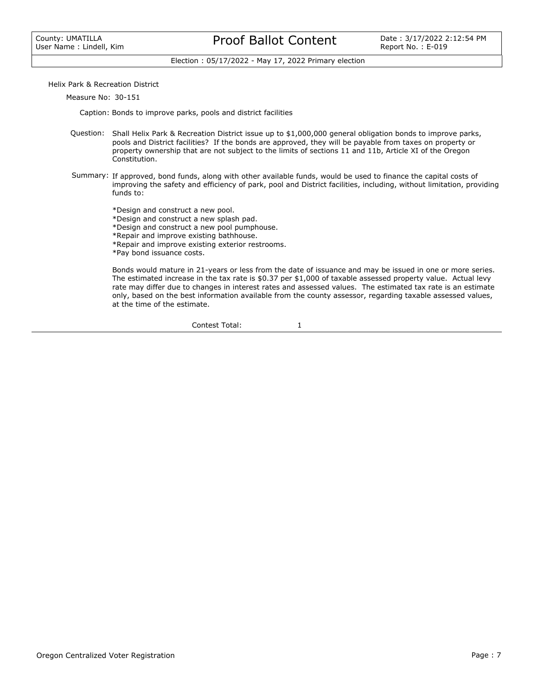#### Proof Ballot Content Date: 3/17/2022 2:12:54 PM

Election : 05/17/2022 - May 17, 2022 Primary election

Helix Park & Recreation District

Measure No: 30-151

Caption: Bonds to improve parks, pools and district facilities

- Question: Shall Helix Park & Recreation District issue up to \$1,000,000 general obligation bonds to improve parks, pools and District facilities? If the bonds are approved, they will be payable from taxes on property or property ownership that are not subject to the limits of sections 11 and 11b, Article XI of the Oregon Constitution.
- Summary: If approved, bond funds, along with other available funds, would be used to finance the capital costs of improving the safety and efficiency of park, pool and District facilities, including, without limitation, providing funds to:

\*Design and construct a new pool.

\*Design and construct a new splash pad.

\*Design and construct a new pool pumphouse.

\*Repair and improve existing bathhouse.

\*Repair and improve existing exterior restrooms.

\*Pay bond issuance costs.

Bonds would mature in 21-years or less from the date of issuance and may be issued in one or more series. The estimated increase in the tax rate is \$0.37 per \$1,000 of taxable assessed property value. Actual levy rate may differ due to changes in interest rates and assessed values. The estimated tax rate is an estimate only, based on the best information available from the county assessor, regarding taxable assessed values, at the time of the estimate.

Contest Total: 1